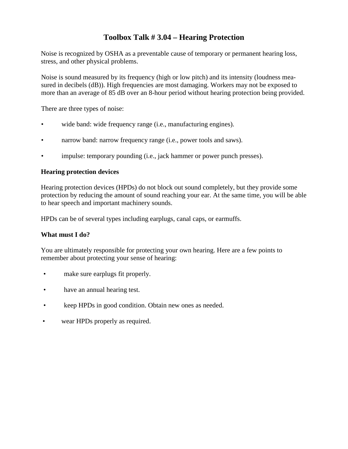### **Toolbox Talk # 3.04 – Hearing Protection**

Noise is recognized by OSHA as a preventable cause of temporary or permanent hearing loss, stress, and other physical problems.

Noise is sound measured by its frequency (high or low pitch) and its intensity (loudness measured in decibels (dB)). High frequencies are most damaging. Workers may not be exposed to more than an average of 85 dB over an 8-hour period without hearing protection being provided.

There are three types of noise:

- wide band: wide frequency range (i.e., manufacturing engines).
- narrow band: narrow frequency range (i.e., power tools and saws).
- impulse: temporary pounding (i.e., jack hammer or power punch presses).

#### **Hearing protection devices**

Hearing protection devices (HPDs) do not block out sound completely, but they provide some protection by reducing the amount of sound reaching your ear. At the same time, you will be able to hear speech and important machinery sounds.

HPDs can be of several types including earplugs, canal caps, or earmuffs.

#### **What must I do?**

You are ultimately responsible for protecting your own hearing. Here are a few points to remember about protecting your sense of hearing:

- make sure earplugs fit properly.
- have an annual hearing test.
- keep HPDs in good condition. Obtain new ones as needed.
- wear HPDs properly as required.